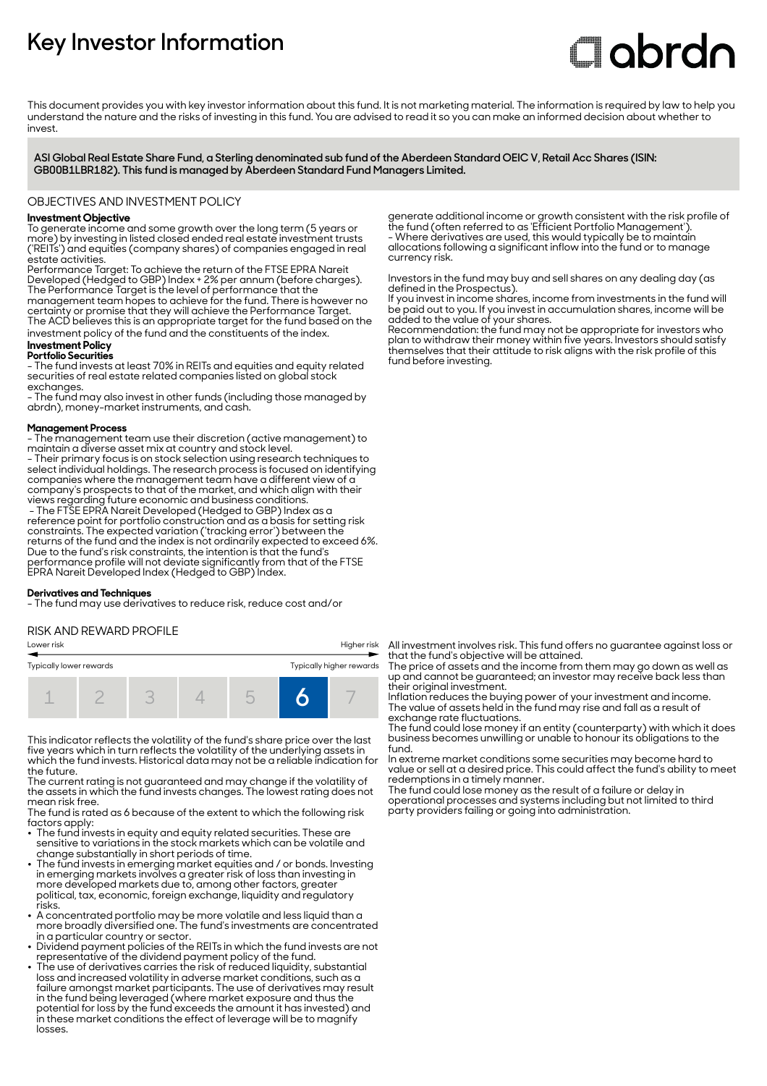# **Key Investor Information**

# **Clobrdn**

This document provides you with key investor information about this fund. It is not marketing material. The information is required by law to help you understand the nature and the risks of investing in this fund. You are advised to read it so you can make an informed decision about whether to invest

**ASI Global Real Estate Share Fund, a Sterling denominated sub fund of the Aberdeen Standard OEIC V, Retail Acc Shares (ISIN: GB00B1LBR182). This fund is managed by Aberdeen Standard Fund Managers Limited.**

## OBJECTIVES AND INVESTMENT POLICY

# **Investment Objective**

To generate income and some growth over the long term (5 years or more) by investing in listed closed ended real estate investment trusts ('REITs') and equities (company shares) of companies engaged in real estate activities.

Performance Target: To achieve the return of the FTSE EPRA Nareit Developed (Hedged to GBP) Index + 2% per annum (before charges). The Performance Target is the level of performance that the management team hopes to achieve for the fund. There is however no certainty or promise that they will achieve the Performance Target. The ACD believes this is an appropriate target for the fund based on the investment policy of the fund and the constituents of the index.

# **Investment Policy**

**Portfolio Securities** - The fund invests at least 70% in REITs and equities and equity related securities of real estate related companies listed on global stock

exchanges. - The fund may also invest in other funds (including those managed by abrdn), money-market instruments, and cash.

#### **Management Process**

- The management team use their discretion (active management) to maintain a diverse asset mix at country and stock level.

- Their primary focus is on stock selection using research techniques to select individual holdings. The research process is focused on identifying companies where the management team have a different view of a company's prospects to that of the market, and which align with their views regarding future economic and business conditions.

 - The FTSE EPRA Nareit Developed (Hedged to GBP) Index as a reference point for portfolio construction and as a basis for setting risk constraints. The expected variation ('tracking error') between the returns of the fund and the index is not ordinarily expected to exceed 6%. Due to the fund's risk constraints, the intention is that the fund's performance profile will not deviate significantly from that of the FTSE EPRA Nareit Developed Index (Hedged to GBP) Index.

#### **Derivatives and Techniques**

- The fund may use derivatives to reduce risk, reduce cost and/or

RISK AND REWARD PROFILE

# Lower risk Higher risk



This indicator reflects the volatility of the fund's share price over the last five years which in turn reflects the volatility of the underlying assets in which the fund invests. Historical data may not be a reliable indication for the future.

The current rating is not guaranteed and may change if the volatility of the assets in which the fund invests changes. The lowest rating does not mean risk free.

The fund is rated as 6 because of the extent to which the following risk factors apply:

- The fund invests in equity and equity related securities. These are sensitive to variations in the stock markets which can be volatile and change substantially in short periods of time.
- The fund invests in emerging market equities and / or bonds. Investing in emerging markets involves a greater risk of loss than investing in more developed markets due to, among other factors, greater political, tax, economic, foreign exchange, liquidity and regulatory risks.
- A concentrated portfolio may be more volatile and less liquid than a more broadly diversified one. The fund's investments are concentrated in a particular country or sector.
- 2 Dividend payment policies of the REITs in which the fund invests are not representative of the dividend payment policy of the fund. 2 The use of derivatives carries the risk of reduced liquidity, substantial
- loss and increased volatility in adverse market conditions, such as a failure amongst market participants. The use of derivatives may result in the fund being leveraged (where market exposure and thus the potential for loss by the fund exceeds the amount it has invested) and in these market conditions the effect of leverage will be to magnify losses.

generate additional income or growth consistent with the risk profile of the fund (often referred to as 'Efficient Portfolio Management'). - Where derivatives are used, this would typically be to maintain allocations following a significant inflow into the fund or to manage currency risk.

Investors in the fund may buy and sell shares on any dealing day (as defined in the Prospectus).

If you invest in income shares, income from investments in the fund will be paid out to you. If you invest in accumulation shares, income will be added to the value of your shares.

Recommendation: the fund may not be appropriate for investors who plan to withdraw their money within five years. Investors should satisfy themselves that their attitude to risk aligns with the risk profile of this fund before investing.

All investment involves risk. This fund offers no guarantee against loss or that the fund's objective will be attained.

The price of assets and the income from them may go down as well as up and cannot be guaranteed; an investor may receive back less than their original investment.

Inflation reduces the buying power of your investment and income. The value of assets held in the fund may rise and fall as a result of exchange rate fluctuations.

The fund could lose money if an entity (counterparty) with which it does business becomes unwilling or unable to honour its obligations to the fund.

In extreme market conditions some securities may become hard to value or sell at a desired price. This could affect the fund's ability to meet redemptions in a timely manner.

The fund could lose money as the result of a failure or delay in operational processes and systems including but not limited to third party providers failing or going into administration.